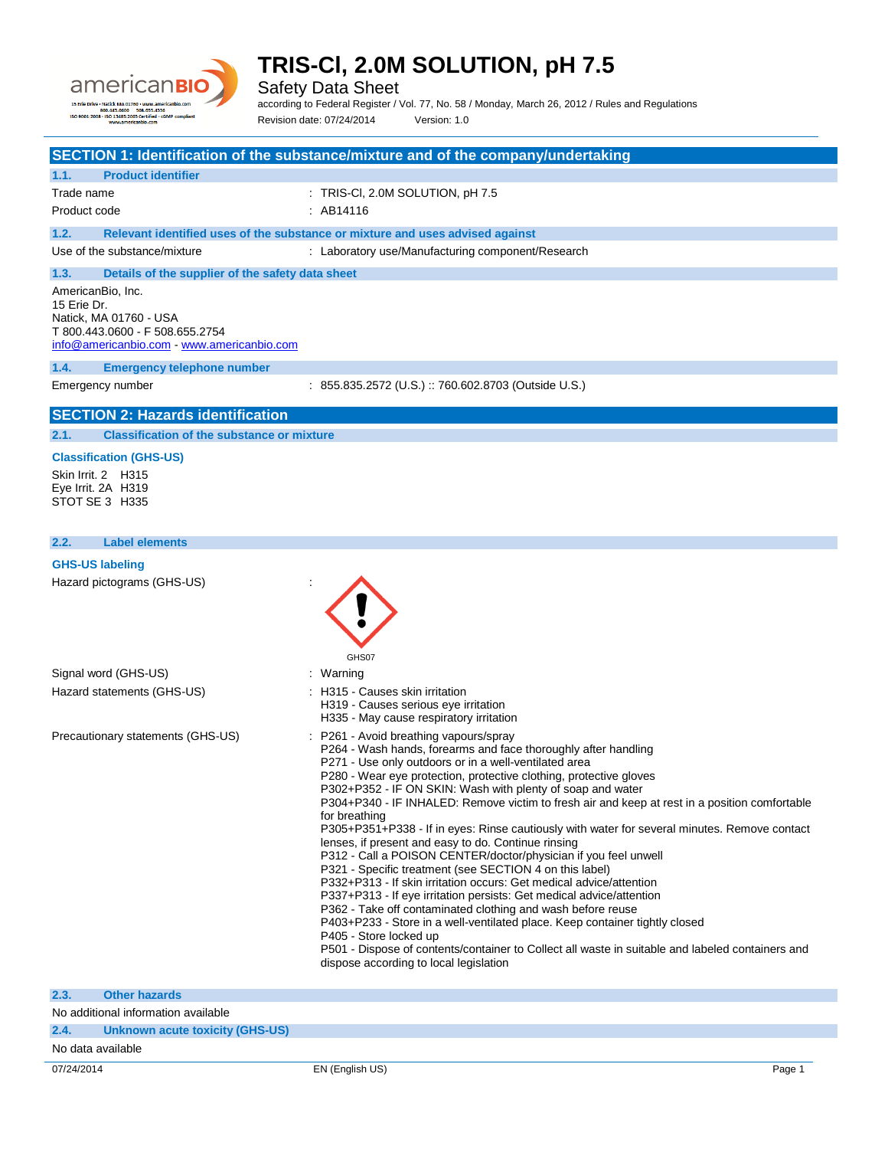

Safety Data Sheet

according to Federal Register / Vol. 77, No. 58 / Monday, March 26, 2012 / Rules and Regulations

### Revision date: 07/24/2014 Version: 1.0 **SECTION 1: Identification of the substance/mixture and of the company/undertaking 1.1. Product identifier** Trade name : TRIS-CI, 2.0M SOLUTION, pH 7.5 Product code : AB14116 **1.2. Relevant identified uses of the substance or mixture and uses advised against** Use of the substance/mixture : Laboratory use/Manufacturing component/Research **1.3. Details of the supplier of the safety data sheet** AmericanBio, Inc. 15 Erie Dr. Natick, MA 01760 - USA T 800.443.0600 - F 508.655.2754 [info@americanbio.com](mailto:info@americanbio.com) - <www.americanbio.com> **1.4. Emergency telephone number** Emergency number : 855.835.2572 (U.S.) :: 760.602.8703 (Outside U.S.) **SECTION 2: Hazards identification 2.1. Classification of the substance or mixture Classification (GHS-US)** Skin Irrit. 2 H315 Eye Irrit. 2A H319 STOT SE 3 H335 **2.2. Label elements GHS-US labeling** Hazard pictograms (GHS-US) : GHS07 Signal word (GHS-US) : Warning Hazard statements (GHS-US) : H315 - Causes skin irritation

Precautionary statements (GHS-US) : P261 - Avoid breathing vapours/spray

- 
- H319 Causes serious eye irritation
- H335 May cause respiratory irritation
- 
- P264 Wash hands, forearms and face thoroughly after handling
- P271 Use only outdoors or in a well-ventilated area
- P280 Wear eye protection, protective clothing, protective gloves
- P302+P352 IF ON SKIN: Wash with plenty of soap and water

P304+P340 - IF INHALED: Remove victim to fresh air and keep at rest in a position comfortable for breathing

P305+P351+P338 - If in eyes: Rinse cautiously with water for several minutes. Remove contact lenses, if present and easy to do. Continue rinsing

- P312 Call a POISON CENTER/doctor/physician if you feel unwell
- P321 Specific treatment (see SECTION 4 on this label)
- P332+P313 If skin irritation occurs: Get medical advice/attention
- P337+P313 If eye irritation persists: Get medical advice/attention
- P362 Take off contaminated clothing and wash before reuse
- P403+P233 Store in a well-ventilated place. Keep container tightly closed
- P405 Store locked up
- P501 Dispose of contents/container to Collect all waste in suitable and labeled containers and dispose according to local legislation

| 07/24/2014                          |                                 | EN (English US) | Page 1 |
|-------------------------------------|---------------------------------|-----------------|--------|
| No data available                   |                                 |                 |        |
| 2.4.                                | Unknown acute toxicity (GHS-US) |                 |        |
| No additional information available |                                 |                 |        |
| 2.3.                                | <b>Other hazards</b>            |                 |        |
|                                     |                                 |                 |        |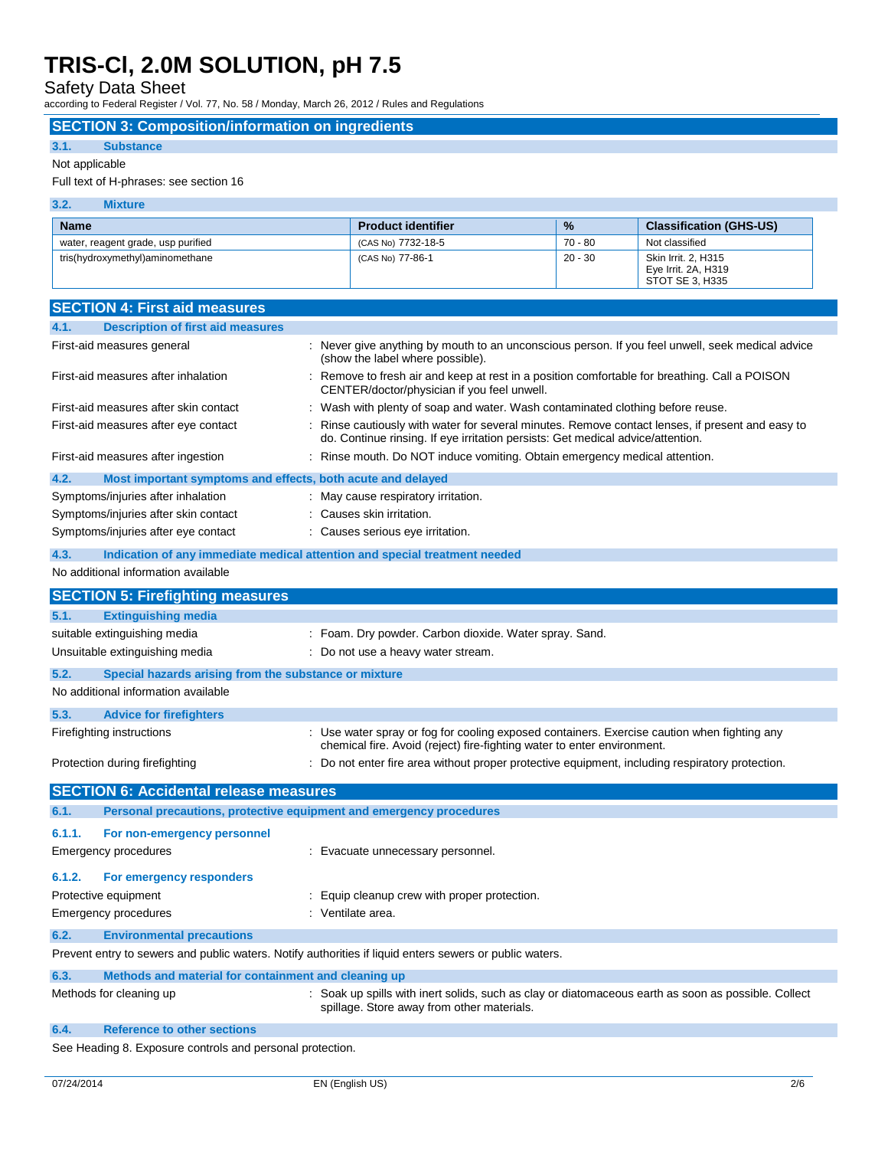Safety Data Sheet

according to Federal Register / Vol. 77, No. 58 / Monday, March 26, 2012 / Rules and Regulations

### **SECTION 3: Composition/information on ingredients**

#### **3.1. Substance**

#### Not applicable

#### Full text of H-phrases: see section 16

| 3.2.<br><b>Mixture</b>             |                           |               |                                                               |
|------------------------------------|---------------------------|---------------|---------------------------------------------------------------|
| <b>Name</b>                        | <b>Product identifier</b> | $\frac{9}{6}$ | <b>Classification (GHS-US)</b>                                |
| water, reagent grade, usp purified | (CAS No) 7732-18-5        | 70 - 80       | Not classified                                                |
| tris(hydroxymethyl)aminomethane    | (CAS No) 77-86-1          | 20 - 30       | Skin Irrit. 2, H315<br>Eye Irrit. 2A, H319<br>STOT SE 3, H335 |

|                                                                                                         | <b>SECTION 4: First aid measures</b>                                |                                                                                                                                                                                     |  |  |
|---------------------------------------------------------------------------------------------------------|---------------------------------------------------------------------|-------------------------------------------------------------------------------------------------------------------------------------------------------------------------------------|--|--|
| 4.1.                                                                                                    | <b>Description of first aid measures</b>                            |                                                                                                                                                                                     |  |  |
|                                                                                                         | First-aid measures general                                          | : Never give anything by mouth to an unconscious person. If you feel unwell, seek medical advice<br>(show the label where possible).                                                |  |  |
| First-aid measures after inhalation                                                                     |                                                                     | : Remove to fresh air and keep at rest in a position comfortable for breathing. Call a POISON<br>CENTER/doctor/physician if you feel unwell.                                        |  |  |
|                                                                                                         | First-aid measures after skin contact                               | Wash with plenty of soap and water. Wash contaminated clothing before reuse.                                                                                                        |  |  |
|                                                                                                         | First-aid measures after eye contact                                | : Rinse cautiously with water for several minutes. Remove contact lenses, if present and easy to<br>do. Continue rinsing. If eye irritation persists: Get medical advice/attention. |  |  |
|                                                                                                         | First-aid measures after ingestion                                  | Rinse mouth. Do NOT induce vomiting. Obtain emergency medical attention.                                                                                                            |  |  |
| 4.2.                                                                                                    | Most important symptoms and effects, both acute and delayed         |                                                                                                                                                                                     |  |  |
|                                                                                                         | Symptoms/injuries after inhalation                                  | : May cause respiratory irritation.                                                                                                                                                 |  |  |
|                                                                                                         | Symptoms/injuries after skin contact                                | : Causes skin irritation.                                                                                                                                                           |  |  |
|                                                                                                         | Symptoms/injuries after eye contact                                 | Causes serious eye irritation.                                                                                                                                                      |  |  |
| 4.3.                                                                                                    |                                                                     | Indication of any immediate medical attention and special treatment needed                                                                                                          |  |  |
|                                                                                                         | No additional information available                                 |                                                                                                                                                                                     |  |  |
|                                                                                                         | <b>SECTION 5: Firefighting measures</b>                             |                                                                                                                                                                                     |  |  |
| 5.1.                                                                                                    | <b>Extinguishing media</b>                                          |                                                                                                                                                                                     |  |  |
|                                                                                                         | suitable extinguishing media                                        | : Foam. Dry powder. Carbon dioxide. Water spray. Sand.                                                                                                                              |  |  |
|                                                                                                         | Unsuitable extinguishing media                                      | : Do not use a heavy water stream.                                                                                                                                                  |  |  |
|                                                                                                         |                                                                     |                                                                                                                                                                                     |  |  |
| 5.2.                                                                                                    | Special hazards arising from the substance or mixture               |                                                                                                                                                                                     |  |  |
|                                                                                                         | No additional information available                                 |                                                                                                                                                                                     |  |  |
| 5.3.                                                                                                    | <b>Advice for firefighters</b>                                      |                                                                                                                                                                                     |  |  |
|                                                                                                         | Firefighting instructions                                           | : Use water spray or fog for cooling exposed containers. Exercise caution when fighting any<br>chemical fire. Avoid (reject) fire-fighting water to enter environment.              |  |  |
|                                                                                                         | Protection during firefighting                                      | : Do not enter fire area without proper protective equipment, including respiratory protection.                                                                                     |  |  |
|                                                                                                         | <b>SECTION 6: Accidental release measures</b>                       |                                                                                                                                                                                     |  |  |
| 6.1.                                                                                                    | Personal precautions, protective equipment and emergency procedures |                                                                                                                                                                                     |  |  |
| 6.1.1.                                                                                                  | For non-emergency personnel                                         |                                                                                                                                                                                     |  |  |
|                                                                                                         | Emergency procedures                                                | : Evacuate unnecessary personnel.                                                                                                                                                   |  |  |
|                                                                                                         |                                                                     |                                                                                                                                                                                     |  |  |
| 6.1.2.                                                                                                  | For emergency responders                                            |                                                                                                                                                                                     |  |  |
|                                                                                                         | Protective equipment                                                | : Equip cleanup crew with proper protection.                                                                                                                                        |  |  |
|                                                                                                         | <b>Emergency procedures</b>                                         | : Ventilate area.                                                                                                                                                                   |  |  |
| 6.2.                                                                                                    | <b>Environmental precautions</b>                                    |                                                                                                                                                                                     |  |  |
| Prevent entry to sewers and public waters. Notify authorities if liquid enters sewers or public waters. |                                                                     |                                                                                                                                                                                     |  |  |
| 6.3.<br>Methods and material for containment and cleaning up                                            |                                                                     |                                                                                                                                                                                     |  |  |
|                                                                                                         | Methods for cleaning up                                             | : Soak up spills with inert solids, such as clay or diatomaceous earth as soon as possible. Collect<br>spillage. Store away from other materials.                                   |  |  |
| 6.4.                                                                                                    | <b>Reference to other sections</b>                                  |                                                                                                                                                                                     |  |  |
|                                                                                                         |                                                                     |                                                                                                                                                                                     |  |  |

See Heading 8. Exposure controls and personal protection.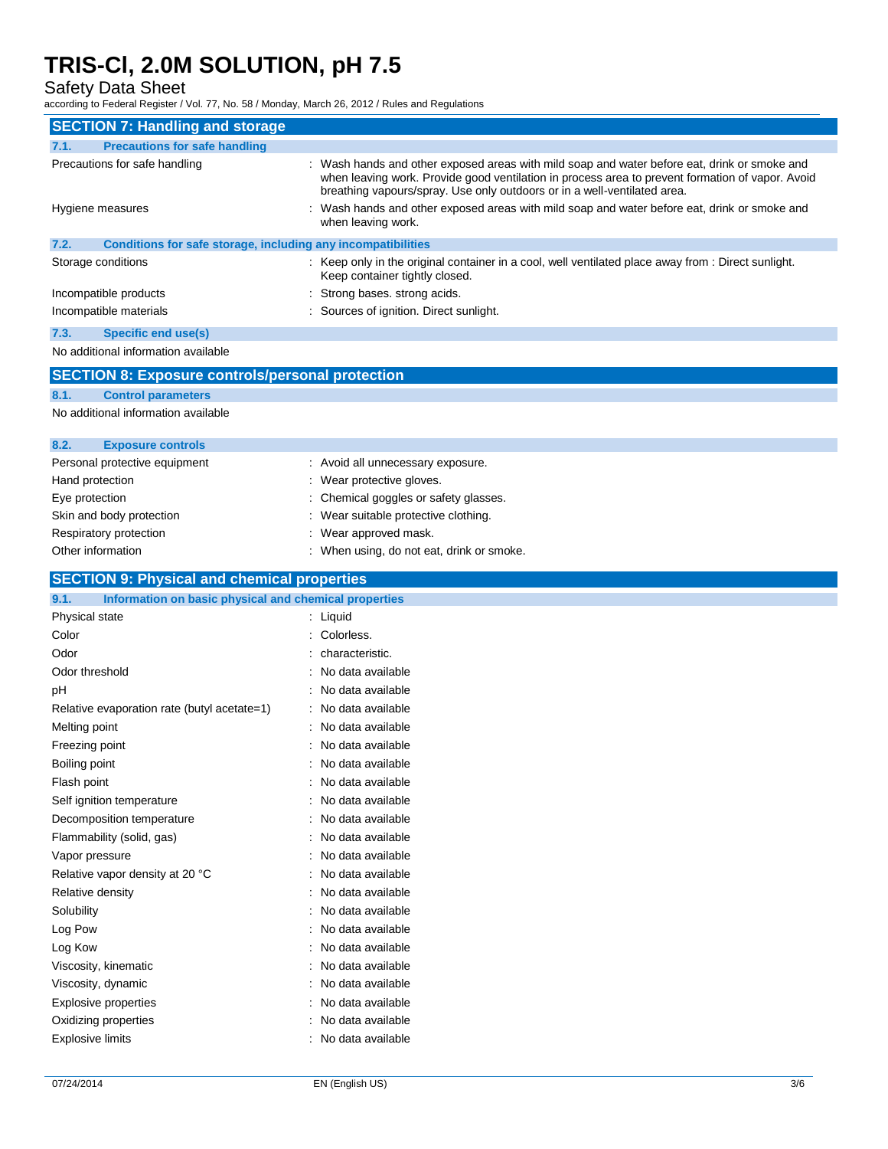Safety Data Sheet

according to Federal Register / Vol. 77, No. 58 / Monday, March 26, 2012 / Rules and Regulations

| according to Federal Register / Vol. 77, No. 58 / Monday, March 26, 2012 / Rules and Regulations |                                                                                                                                                                                                                                                                            |  |  |  |  |
|--------------------------------------------------------------------------------------------------|----------------------------------------------------------------------------------------------------------------------------------------------------------------------------------------------------------------------------------------------------------------------------|--|--|--|--|
| <b>SECTION 7: Handling and storage</b>                                                           |                                                                                                                                                                                                                                                                            |  |  |  |  |
| 7.1.<br><b>Precautions for safe handling</b>                                                     |                                                                                                                                                                                                                                                                            |  |  |  |  |
| Precautions for safe handling                                                                    | Wash hands and other exposed areas with mild soap and water before eat, drink or smoke and<br>when leaving work. Provide good ventilation in process area to prevent formation of vapor. Avoid<br>breathing vapours/spray. Use only outdoors or in a well-ventilated area. |  |  |  |  |
| Hygiene measures                                                                                 | : Wash hands and other exposed areas with mild soap and water before eat, drink or smoke and<br>when leaving work.                                                                                                                                                         |  |  |  |  |
| 7.2.<br>Conditions for safe storage, including any incompatibilities                             |                                                                                                                                                                                                                                                                            |  |  |  |  |
| Storage conditions                                                                               | : Keep only in the original container in a cool, well ventilated place away from : Direct sunlight.<br>Keep container tightly closed.                                                                                                                                      |  |  |  |  |
| Incompatible products                                                                            | Strong bases. strong acids.                                                                                                                                                                                                                                                |  |  |  |  |
| Incompatible materials                                                                           | Sources of ignition. Direct sunlight.                                                                                                                                                                                                                                      |  |  |  |  |
| 7.3.<br>Specific end use(s)                                                                      |                                                                                                                                                                                                                                                                            |  |  |  |  |
| No additional information available                                                              |                                                                                                                                                                                                                                                                            |  |  |  |  |
| <b>SECTION 8: Exposure controls/personal protection</b>                                          |                                                                                                                                                                                                                                                                            |  |  |  |  |
| 8.1.<br><b>Control parameters</b>                                                                |                                                                                                                                                                                                                                                                            |  |  |  |  |
| No additional information available                                                              |                                                                                                                                                                                                                                                                            |  |  |  |  |
|                                                                                                  |                                                                                                                                                                                                                                                                            |  |  |  |  |
| 8.2.<br><b>Exposure controls</b>                                                                 |                                                                                                                                                                                                                                                                            |  |  |  |  |
| Personal protective equipment                                                                    | : Avoid all unnecessary exposure.                                                                                                                                                                                                                                          |  |  |  |  |
| Hand protection                                                                                  | : Wear protective gloves.                                                                                                                                                                                                                                                  |  |  |  |  |
| Eye protection                                                                                   | Chemical goggles or safety glasses.                                                                                                                                                                                                                                        |  |  |  |  |
| Skin and body protection                                                                         | Wear suitable protective clothing.                                                                                                                                                                                                                                         |  |  |  |  |
| Respiratory protection                                                                           | Wear approved mask.                                                                                                                                                                                                                                                        |  |  |  |  |
| Other information                                                                                | : When using, do not eat, drink or smoke.                                                                                                                                                                                                                                  |  |  |  |  |
| <b>SECTION 9: Physical and chemical properties</b>                                               |                                                                                                                                                                                                                                                                            |  |  |  |  |
| 9.1.<br>Information on basic physical and chemical properties                                    |                                                                                                                                                                                                                                                                            |  |  |  |  |
| Physical state                                                                                   | : Liquid                                                                                                                                                                                                                                                                   |  |  |  |  |
| Color                                                                                            | : Colorless.                                                                                                                                                                                                                                                               |  |  |  |  |
| Odor                                                                                             | : characteristic.                                                                                                                                                                                                                                                          |  |  |  |  |
| Odor threshold                                                                                   | No data available                                                                                                                                                                                                                                                          |  |  |  |  |
| pH                                                                                               | No data available                                                                                                                                                                                                                                                          |  |  |  |  |
| Relative evaporation rate (butyl acetate=1)                                                      | : No data available                                                                                                                                                                                                                                                        |  |  |  |  |
| Melting point                                                                                    | : No data available                                                                                                                                                                                                                                                        |  |  |  |  |
| Freezing point                                                                                   | No data available                                                                                                                                                                                                                                                          |  |  |  |  |

Boiling point **in the case of the case of the case of the case of the case of the case of the case of the case of the case of the case of the case of the case of the case of the case of the case of the case of the case of** Flash point **in the case of the case of the case of the case of the case of the case of the case of the case of the case of the case of the case of the case of the case of the case of the case of the case of the case of th** Self ignition temperature : No data available

Decomposition temperature : No data available Flammability (solid, gas) **in the set of the set of the set of the set of the set of the set of the set of the set of the set of the set of the set of the set of the set of the set of the set of the set of the set of the s** 

Vapor pressure in the set of the set of the set of the Vapor pressure in the value of the value of the Vapor s

| Relative vapor density at 20 °C | : No data available |
|---------------------------------|---------------------|
| Relative density                | : No data available |
| Solubility                      | : No data available |
| Log Pow                         | : No data available |
| Log Kow                         | : No data available |
| Viscosity, kinematic            | : No data available |
| Viscosity, dynamic              | : No data available |
| Explosive properties            | : No data available |
| Oxidizing properties            | : No data available |
| <b>Explosive limits</b>         | : No data available |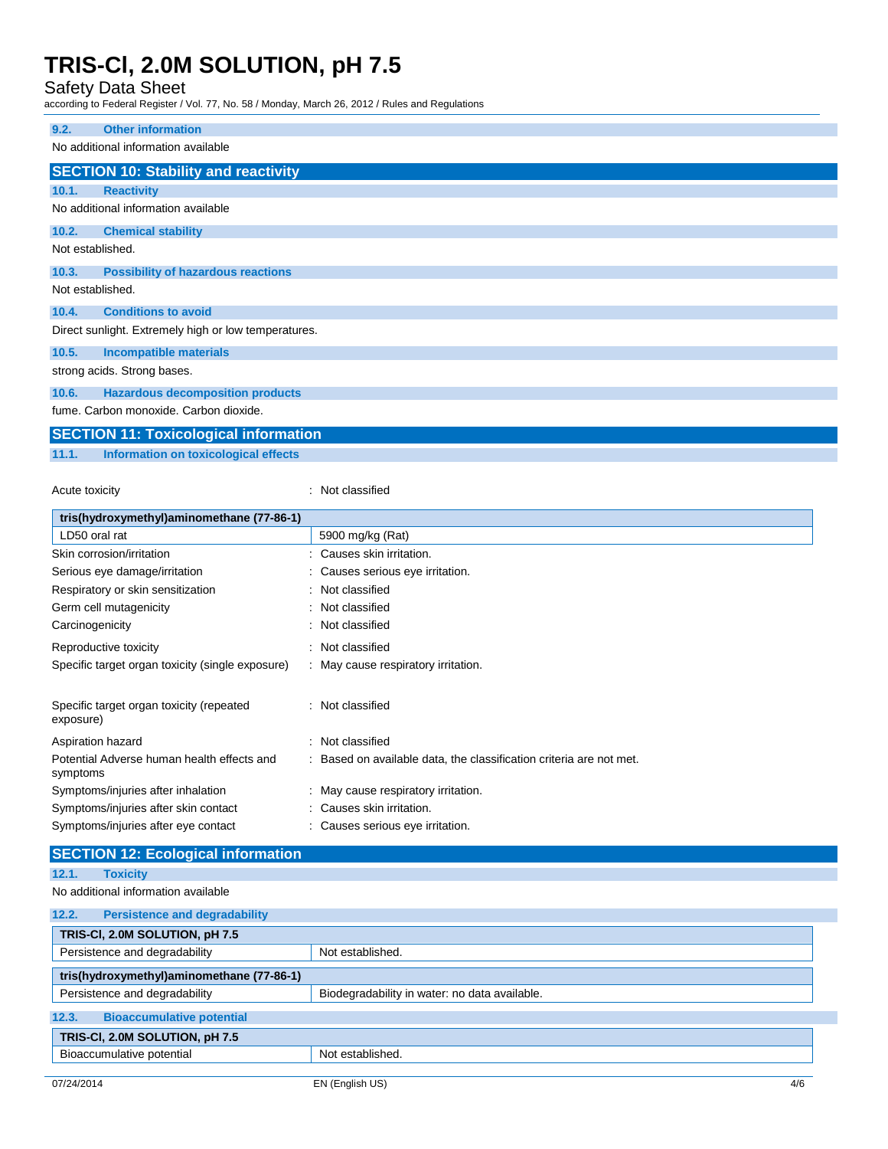Safety Data Sheet

according to Federal Register / Vol. 77, No. 58 / Monday, March 26, 2012 / Rules and Regulations

| 9.2.                                                 | <b>Other information</b>                    |  |  |
|------------------------------------------------------|---------------------------------------------|--|--|
|                                                      |                                             |  |  |
|                                                      | No additional information available         |  |  |
|                                                      | <b>SECTION 10: Stability and reactivity</b> |  |  |
| 10.1.                                                | <b>Reactivity</b>                           |  |  |
|                                                      | No additional information available         |  |  |
| 10.2.                                                | <b>Chemical stability</b>                   |  |  |
| Not established.                                     |                                             |  |  |
| 10.3.                                                | <b>Possibility of hazardous reactions</b>   |  |  |
| Not established.                                     |                                             |  |  |
| 10.4.                                                | <b>Conditions to avoid</b>                  |  |  |
| Direct sunlight. Extremely high or low temperatures. |                                             |  |  |
| 10.5.                                                | <b>Incompatible materials</b>               |  |  |
| strong acids. Strong bases.                          |                                             |  |  |
| 10.6.                                                | <b>Hazardous decomposition products</b>     |  |  |
| fume. Carbon monoxide. Carbon dioxide.               |                                             |  |  |

### **SECTION 11: Toxicological information 11.1. Information on toxicological effects**

Acute toxicity **in the case of the CALIC CONTEX Not classified** : Not classified

| tris(hydroxymethyl)aminomethane (77-86-1)                           |  |  |  |
|---------------------------------------------------------------------|--|--|--|
| 5900 mg/kg (Rat)                                                    |  |  |  |
| : Causes skin irritation.                                           |  |  |  |
| : Causes serious eye irritation.                                    |  |  |  |
| : Not classified                                                    |  |  |  |
| : Not classified                                                    |  |  |  |
| : Not classified                                                    |  |  |  |
| : Not classified                                                    |  |  |  |
| : May cause respiratory irritation.                                 |  |  |  |
| : Not classified                                                    |  |  |  |
| : Not classified                                                    |  |  |  |
| : Based on available data, the classification criteria are not met. |  |  |  |
| : May cause respiratory irritation.                                 |  |  |  |
| : Causes skin irritation.                                           |  |  |  |
| Causes serious eye irritation.                                      |  |  |  |
|                                                                     |  |  |  |

| <b>SECTION 12: Ecological information</b>     |                                               |  |  |
|-----------------------------------------------|-----------------------------------------------|--|--|
| 12.1.<br><b>Toxicity</b>                      |                                               |  |  |
| No additional information available           |                                               |  |  |
| 12.2.<br><b>Persistence and degradability</b> |                                               |  |  |
| TRIS-CI, 2.0M SOLUTION, pH 7.5                |                                               |  |  |
| Persistence and degradability                 | Not established.                              |  |  |
| tris(hydroxymethyl)aminomethane (77-86-1)     |                                               |  |  |
| Persistence and degradability                 | Biodegradability in water: no data available. |  |  |
| 12.3.<br><b>Bioaccumulative potential</b>     |                                               |  |  |
| TRIS-CI, 2.0M SOLUTION, pH 7.5                |                                               |  |  |
| Bioaccumulative potential                     | Not established.                              |  |  |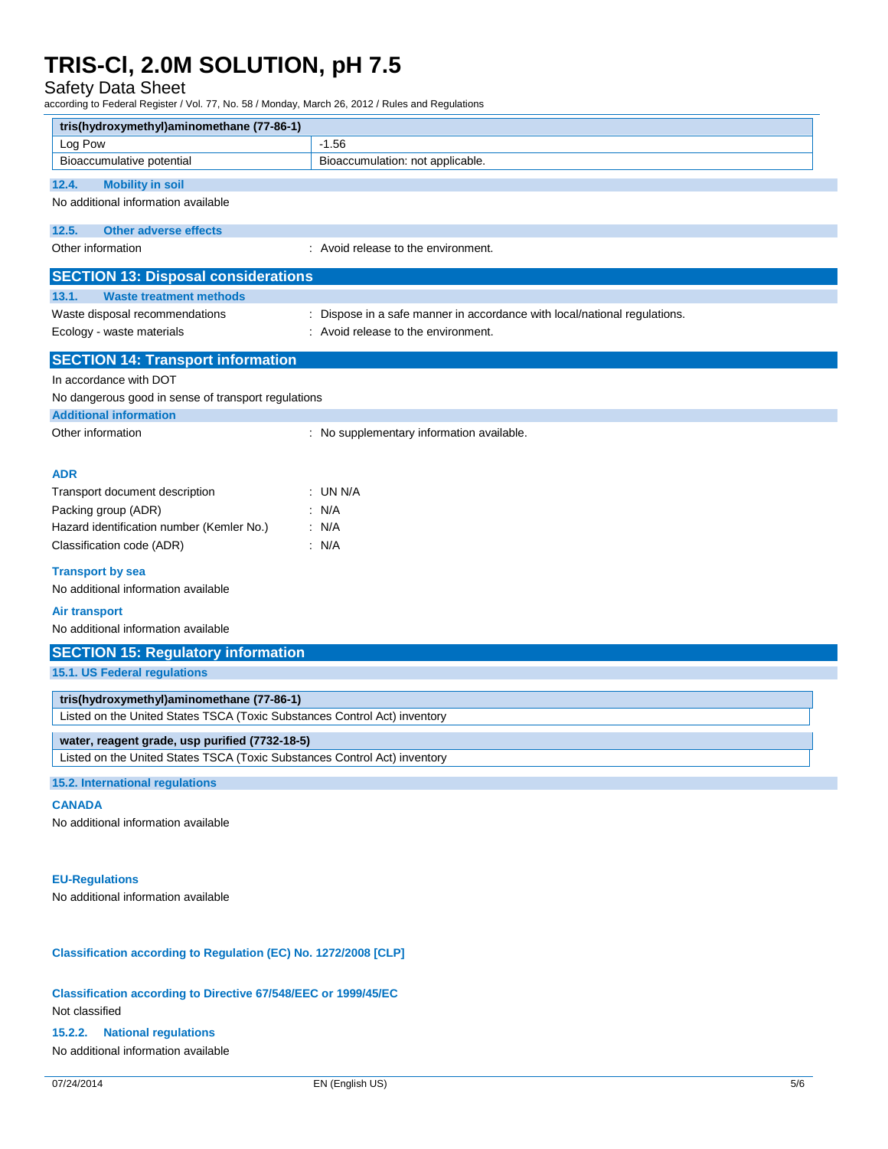Safety Data Sheet

according to Federal Register / Vol. 77, No. 58 / Monday, March 26, 2012 / Rules and Regulations

| tris(hydroxymethyl)aminomethane (77-86-1)                                 |                                                                           |  |  |
|---------------------------------------------------------------------------|---------------------------------------------------------------------------|--|--|
| Log Pow                                                                   | $-1.56$                                                                   |  |  |
| Bioaccumulative potential                                                 | Bioaccumulation: not applicable.                                          |  |  |
| 12.4.<br><b>Mobility in soil</b>                                          |                                                                           |  |  |
| No additional information available                                       |                                                                           |  |  |
| 12.5.<br><b>Other adverse effects</b>                                     |                                                                           |  |  |
| Other information                                                         | : Avoid release to the environment.                                       |  |  |
|                                                                           |                                                                           |  |  |
| <b>SECTION 13: Disposal considerations</b>                                |                                                                           |  |  |
| 13.1.<br><b>Waste treatment methods</b>                                   |                                                                           |  |  |
| Waste disposal recommendations                                            | : Dispose in a safe manner in accordance with local/national regulations. |  |  |
| Ecology - waste materials                                                 | : Avoid release to the environment.                                       |  |  |
| <b>SECTION 14: Transport information</b>                                  |                                                                           |  |  |
| In accordance with DOT                                                    |                                                                           |  |  |
| No dangerous good in sense of transport regulations                       |                                                                           |  |  |
| <b>Additional information</b>                                             |                                                                           |  |  |
| Other information                                                         | : No supplementary information available.                                 |  |  |
|                                                                           |                                                                           |  |  |
| <b>ADR</b>                                                                |                                                                           |  |  |
| Transport document description                                            | : UN N/A                                                                  |  |  |
| Packing group (ADR)                                                       | : N/A                                                                     |  |  |
| Hazard identification number (Kemler No.)                                 | : N/A                                                                     |  |  |
| Classification code (ADR)                                                 | : N/A                                                                     |  |  |
| <b>Transport by sea</b>                                                   |                                                                           |  |  |
| No additional information available                                       |                                                                           |  |  |
|                                                                           |                                                                           |  |  |
| <b>Air transport</b><br>No additional information available               |                                                                           |  |  |
|                                                                           |                                                                           |  |  |
| <b>SECTION 15: Regulatory information</b>                                 |                                                                           |  |  |
| 15.1. US Federal regulations                                              |                                                                           |  |  |
| tris(hydroxymethyl)aminomethane (77-86-1)                                 |                                                                           |  |  |
| Listed on the United States TSCA (Toxic Substances Control Act) inventory |                                                                           |  |  |
| water, reagent grade, usp purified (7732-18-5)                            |                                                                           |  |  |
| Listed on the United States TSCA (Toxic Substances Control Act) inventory |                                                                           |  |  |
| 15.2. International regulations                                           |                                                                           |  |  |
|                                                                           |                                                                           |  |  |
| <b>CANADA</b>                                                             |                                                                           |  |  |
| No additional information available                                       |                                                                           |  |  |
|                                                                           |                                                                           |  |  |
| <b>EU-Regulations</b>                                                     |                                                                           |  |  |
| No additional information available                                       |                                                                           |  |  |
|                                                                           |                                                                           |  |  |

**Classification according to Regulation (EC) No. 1272/2008 [CLP]**

**Classification according to Directive 67/548/EEC or 1999/45/EC** Not classified

**15.2.2. National regulations**

No additional information available